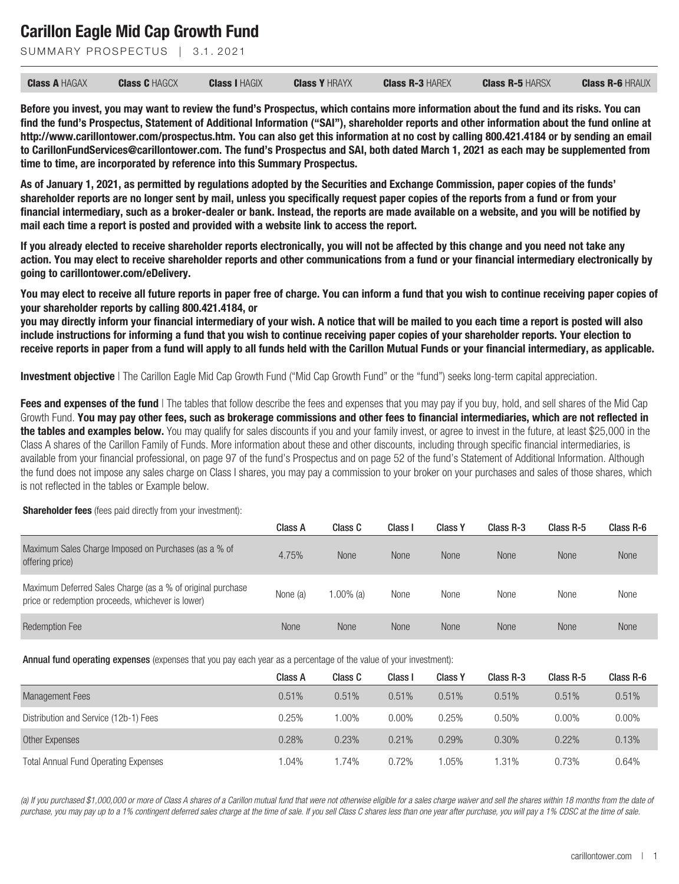SUMMARY PROSPECTUS | 3.1.2021

| <b>Class A HAGAX</b> | <b>Class C HAGCX</b> | <b>Class I HAGIX</b> | <b>Class Y HRAYX</b> | <b>Class R-3 HAREX</b> | <b>Class R-5 HARSX</b> | <b>Class R-6 HRAUX</b> |
|----------------------|----------------------|----------------------|----------------------|------------------------|------------------------|------------------------|
|                      |                      |                      |                      |                        |                        |                        |

**Before you invest, you may want to review the fund's Prospectus, which contains more information about the fund and its risks. You can find the fund's Prospectus, Statement of Additional Information ("SAI"), shareholder reports and other information about the fund online at http://www.carillontower.com/prospectus.htm. You can also get this information at no cost by calling 800.421.4184 or by sending an email to CarillonFundServices@carillontower.com. The fund's Prospectus and SAI, both dated March 1, 2021 as each may be supplemented from time to time, are incorporated by reference into this Summary Prospectus.**

**As of January 1, 2021, as permitted by regulations adopted by the Securities and Exchange Commission, paper copies of the funds' shareholder reports are no longer sent by mail, unless you specifically request paper copies of the reports from a fund or from your financial intermediary, such as a broker-dealer or bank. Instead, the reports are made available on a website, and you will be notified by mail each time a report is posted and provided with a website link to access the report.**

**If you already elected to receive shareholder reports electronically, you will not be affected by this change and you need not take any action. You may elect to receive shareholder reports and other communications from a fund or your financial intermediary electronically by going to carillontower.com/eDelivery.**

**You may elect to receive all future reports in paper free of charge. You can inform a fund that you wish to continue receiving paper copies of your shareholder reports by calling 800.421.4184, or**

**you may directly inform your financial intermediary of your wish. A notice that will be mailed to you each time a report is posted will also include instructions for informing a fund that you wish to continue receiving paper copies of your shareholder reports. Your election to receive reports in paper from a fund will apply to all funds held with the Carillon Mutual Funds or your financial intermediary, as applicable.**

**Investment objective** | The Carillon Eagle Mid Cap Growth Fund ("Mid Cap Growth Fund" or the "fund") seeks long-term capital appreciation.

**Fees and expenses of the fund** | The tables that follow describe the fees and expenses that you may pay if you buy, hold, and sell shares of the Mid Cap Growth Fund. **You may pay other fees, such as brokerage commissions and other fees to financial intermediaries, which are not reflected in the tables and examples below.** You may qualify for sales discounts if you and your family invest, or agree to invest in the future, at least \$25,000 in the Class A shares of the Carillon Family of Funds. More information about these and other discounts, including through specific financial intermediaries, is available from your financial professional, on page 97 of the fund's Prospectus and on page 52 of the fund's Statement of Additional Information. Although the fund does not impose any sales charge on Class I shares, you may pay a commission to your broker on your purchases and sales of those shares, which is not reflected in the tables or Example below.

#### **Shareholder fees** (fees paid directly from your investment):

|                                                                                                                 | Class A     | Class C      | Class <sup>1</sup> | <b>Class Y</b> | Class R-3   | Class R-5   | Class R-6   |
|-----------------------------------------------------------------------------------------------------------------|-------------|--------------|--------------------|----------------|-------------|-------------|-------------|
| Maximum Sales Charge Imposed on Purchases (as a % of<br>offering price)                                         | 4.75%       | <b>None</b>  | <b>None</b>        | <b>None</b>    | <b>None</b> | <b>None</b> | <b>None</b> |
| Maximum Deferred Sales Charge (as a % of original purchase<br>price or redemption proceeds, whichever is lower) | None (a)    | $1.00\%$ (a) | None               | None           | None        | None        | None        |
| <b>Redemption Fee</b>                                                                                           | <b>None</b> | None         | <b>None</b>        | None           | <b>None</b> | <b>None</b> | <b>None</b> |

Annual fund operating expenses (expenses that you pay each year as a percentage of the value of your investment):

|                                             | Class A | Class C | Class I  | <b>Class Y</b> | Class R-3 | Class R-5 | Class R-6 |
|---------------------------------------------|---------|---------|----------|----------------|-----------|-----------|-----------|
| <b>Management Fees</b>                      | 0.51%   | 0.51%   | 0.51%    | 0.51%          | 0.51%     | 0.51%     | 0.51%     |
| Distribution and Service (12b-1) Fees       | 0.25%   | 1.00%   | $0.00\%$ | 0.25%          | 0.50%     | $0.00\%$  | 0.00%     |
| Other Expenses                              | 0.28%   | 0.23%   | 0.21%    | 0.29%          | 0.30%     | $0.22\%$  | 0.13%     |
| <b>Total Annual Fund Operating Expenses</b> | $.04\%$ | 1.74%   | 0.72%    | $0.05\%$       | 1.31%     | 0.73%     | 0.64%     |

*(a) If you purchased \$1,000,000 or more of Class A shares of a Carillon mutual fund that were not otherwise eligible for a sales charge waiver and sell the shares within 18 months from the date of purchase, you may pay up to a 1% contingent deferred sales charge at the time of sale. If you sell Class C shares less than one year after purchase, you will pay a 1% CDSC at the time of sale.*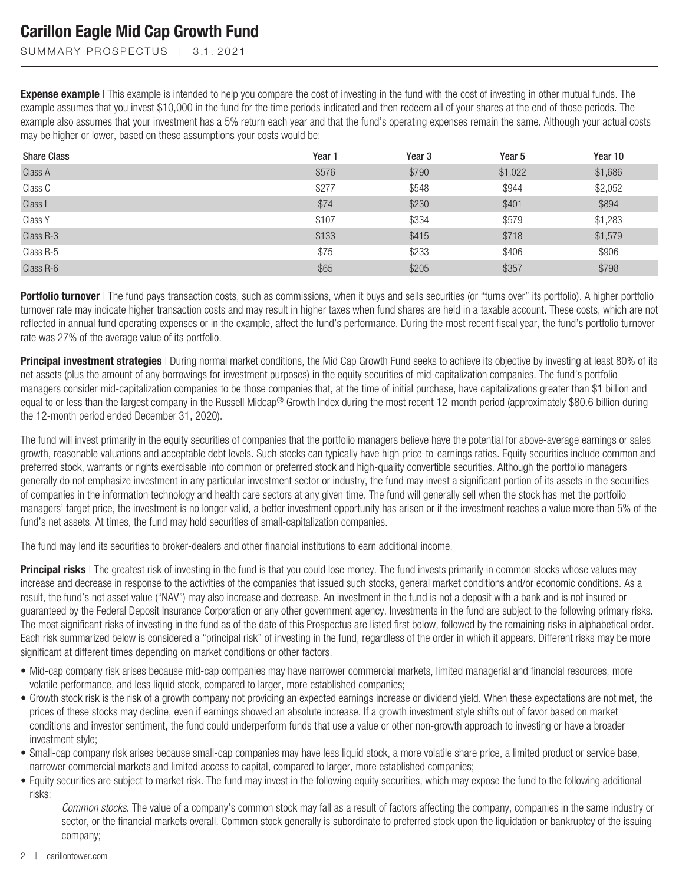SUMMARY PROSPECTUS | 3.1.2021

**Expense example** | This example is intended to help you compare the cost of investing in the fund with the cost of investing in other mutual funds. The example assumes that you invest \$10,000 in the fund for the time periods indicated and then redeem all of your shares at the end of those periods. The example also assumes that your investment has a 5% return each year and that the fund's operating expenses remain the same. Although your actual costs may be higher or lower, based on these assumptions your costs would be:

| <b>Share Class</b> | Year 1 | Year <sub>3</sub> | Year 5  | Year 10 |
|--------------------|--------|-------------------|---------|---------|
| Class A            | \$576  | \$790             | \$1,022 | \$1,686 |
| Class C            | \$277  | \$548             | \$944   | \$2,052 |
| Class I            | \$74   | \$230             | \$401   | \$894   |
| Class Y            | \$107  | \$334             | \$579   | \$1,283 |
| Class R-3          | \$133  | \$415             | \$718   | \$1,579 |
| Class R-5          | \$75   | \$233             | \$406   | \$906   |
| Class R-6          | \$65   | \$205             | \$357   | \$798   |

**Portfolio turnover** | The fund pays transaction costs, such as commissions, when it buys and sells securities (or "turns over" its portfolio). A higher portfolio turnover rate may indicate higher transaction costs and may result in higher taxes when fund shares are held in a taxable account. These costs, which are not reflected in annual fund operating expenses or in the example, affect the fund's performance. During the most recent fiscal year, the fund's portfolio turnover rate was 27% of the average value of its portfolio.

**Principal investment strategies** I During normal market conditions, the Mid Cap Growth Fund seeks to achieve its objective by investing at least 80% of its net assets (plus the amount of any borrowings for investment purposes) in the equity securities of mid-capitalization companies. The fund's portfolio managers consider mid-capitalization companies to be those companies that, at the time of initial purchase, have capitalizations greater than \$1 billion and equal to or less than the largest company in the Russell Midcap® Growth Index during the most recent 12-month period (approximately \$80.6 billion during the 12-month period ended December 31, 2020).

The fund will invest primarily in the equity securities of companies that the portfolio managers believe have the potential for above-average earnings or sales growth, reasonable valuations and acceptable debt levels. Such stocks can typically have high price-to-earnings ratios. Equity securities include common and preferred stock, warrants or rights exercisable into common or preferred stock and high-quality convertible securities. Although the portfolio managers generally do not emphasize investment in any particular investment sector or industry, the fund may invest a significant portion of its assets in the securities of companies in the information technology and health care sectors at any given time. The fund will generally sell when the stock has met the portfolio managers' target price, the investment is no longer valid, a better investment opportunity has arisen or if the investment reaches a value more than 5% of the fund's net assets. At times, the fund may hold securities of small-capitalization companies.

The fund may lend its securities to broker-dealers and other financial institutions to earn additional income.

**Principal risks** | The greatest risk of investing in the fund is that you could lose money. The fund invests primarily in common stocks whose values may increase and decrease in response to the activities of the companies that issued such stocks, general market conditions and/or economic conditions. As a result, the fund's net asset value ("NAV") may also increase and decrease. An investment in the fund is not a deposit with a bank and is not insured or guaranteed by the Federal Deposit Insurance Corporation or any other government agency. Investments in the fund are subject to the following primary risks. The most significant risks of investing in the fund as of the date of this Prospectus are listed first below, followed by the remaining risks in alphabetical order. Each risk summarized below is considered a "principal risk" of investing in the fund, regardless of the order in which it appears. Different risks may be more significant at different times depending on market conditions or other factors.

- Mid-cap company risk arises because mid-cap companies may have narrower commercial markets, limited managerial and financial resources, more volatile performance, and less liquid stock, compared to larger, more established companies;
- Growth stock risk is the risk of a growth company not providing an expected earnings increase or dividend yield. When these expectations are not met, the prices of these stocks may decline, even if earnings showed an absolute increase. If a growth investment style shifts out of favor based on market conditions and investor sentiment, the fund could underperform funds that use a value or other non-growth approach to investing or have a broader investment style;
- Small-cap company risk arises because small-cap companies may have less liquid stock, a more volatile share price, a limited product or service base, narrower commercial markets and limited access to capital, compared to larger, more established companies;
- Equity securities are subject to market risk. The fund may invest in the following equity securities, which may expose the fund to the following additional risks:

*Common stocks*. The value of a company's common stock may fall as a result of factors affecting the company, companies in the same industry or sector, or the financial markets overall. Common stock generally is subordinate to preferred stock upon the liquidation or bankruptcy of the issuing company;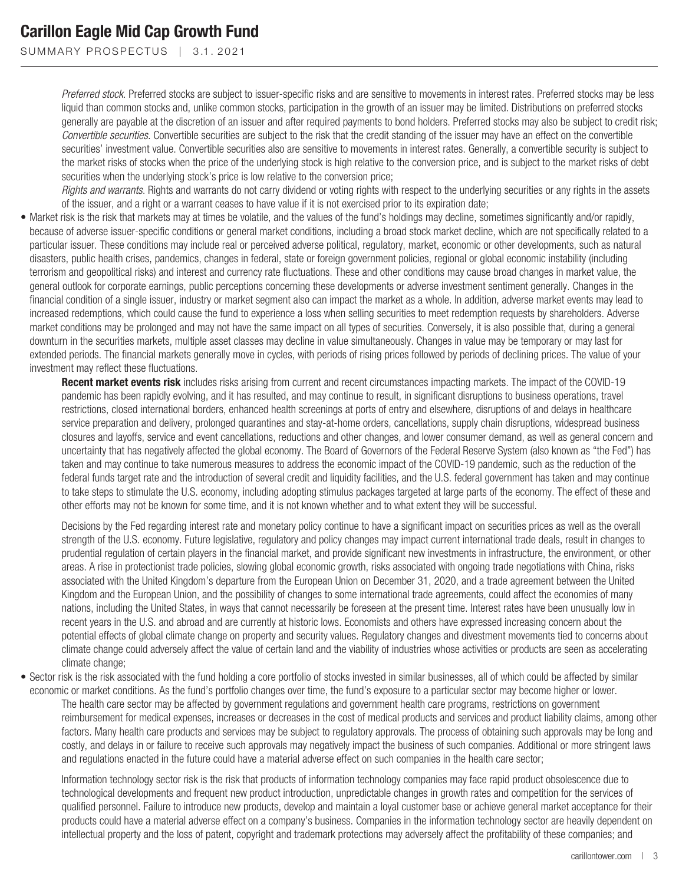SUMMARY PROSPECTUS | 3.1.2021

*Preferred stock*. Preferred stocks are subject to issuer-specific risks and are sensitive to movements in interest rates. Preferred stocks may be less liquid than common stocks and, unlike common stocks, participation in the growth of an issuer may be limited. Distributions on preferred stocks generally are payable at the discretion of an issuer and after required payments to bond holders. Preferred stocks may also be subject to credit risk; *Convertible securities*. Convertible securities are subject to the risk that the credit standing of the issuer may have an effect on the convertible securities' investment value. Convertible securities also are sensitive to movements in interest rates. Generally, a convertible security is subject to the market risks of stocks when the price of the underlying stock is high relative to the conversion price, and is subject to the market risks of debt securities when the underlying stock's price is low relative to the conversion price;

*Rights and warrants*. Rights and warrants do not carry dividend or voting rights with respect to the underlying securities or any rights in the assets of the issuer, and a right or a warrant ceases to have value if it is not exercised prior to its expiration date;

• Market risk is the risk that markets may at times be volatile, and the values of the fund's holdings may decline, sometimes significantly and/or rapidly, because of adverse issuer-specific conditions or general market conditions, including a broad stock market decline, which are not specifically related to a particular issuer. These conditions may include real or perceived adverse political, regulatory, market, economic or other developments, such as natural disasters, public health crises, pandemics, changes in federal, state or foreign government policies, regional or global economic instability (including terrorism and geopolitical risks) and interest and currency rate fluctuations. These and other conditions may cause broad changes in market value, the general outlook for corporate earnings, public perceptions concerning these developments or adverse investment sentiment generally. Changes in the financial condition of a single issuer, industry or market segment also can impact the market as a whole. In addition, adverse market events may lead to increased redemptions, which could cause the fund to experience a loss when selling securities to meet redemption requests by shareholders. Adverse market conditions may be prolonged and may not have the same impact on all types of securities. Conversely, it is also possible that, during a general downturn in the securities markets, multiple asset classes may decline in value simultaneously. Changes in value may be temporary or may last for extended periods. The financial markets generally move in cycles, with periods of rising prices followed by periods of declining prices. The value of your investment may reflect these fluctuations.

**Recent market events risk** includes risks arising from current and recent circumstances impacting markets. The impact of the COVID-19 pandemic has been rapidly evolving, and it has resulted, and may continue to result, in significant disruptions to business operations, travel restrictions, closed international borders, enhanced health screenings at ports of entry and elsewhere, disruptions of and delays in healthcare service preparation and delivery, prolonged quarantines and stay-at-home orders, cancellations, supply chain disruptions, widespread business closures and layoffs, service and event cancellations, reductions and other changes, and lower consumer demand, as well as general concern and uncertainty that has negatively affected the global economy. The Board of Governors of the Federal Reserve System (also known as "the Fed") has taken and may continue to take numerous measures to address the economic impact of the COVID-19 pandemic, such as the reduction of the federal funds target rate and the introduction of several credit and liquidity facilities, and the U.S. federal government has taken and may continue to take steps to stimulate the U.S. economy, including adopting stimulus packages targeted at large parts of the economy. The effect of these and other efforts may not be known for some time, and it is not known whether and to what extent they will be successful.

Decisions by the Fed regarding interest rate and monetary policy continue to have a significant impact on securities prices as well as the overall strength of the U.S. economy. Future legislative, regulatory and policy changes may impact current international trade deals, result in changes to prudential regulation of certain players in the financial market, and provide significant new investments in infrastructure, the environment, or other areas. A rise in protectionist trade policies, slowing global economic growth, risks associated with ongoing trade negotiations with China, risks associated with the United Kingdom's departure from the European Union on December 31, 2020, and a trade agreement between the United Kingdom and the European Union, and the possibility of changes to some international trade agreements, could affect the economies of many nations, including the United States, in ways that cannot necessarily be foreseen at the present time. Interest rates have been unusually low in recent years in the U.S. and abroad and are currently at historic lows. Economists and others have expressed increasing concern about the potential effects of global climate change on property and security values. Regulatory changes and divestment movements tied to concerns about climate change could adversely affect the value of certain land and the viability of industries whose activities or products are seen as accelerating climate change;

• Sector risk is the risk associated with the fund holding a core portfolio of stocks invested in similar businesses, all of which could be affected by similar economic or market conditions. As the fund's portfolio changes over time, the fund's exposure to a particular sector may become higher or lower. The health care sector may be affected by government regulations and government health care programs, restrictions on government reimbursement for medical expenses, increases or decreases in the cost of medical products and services and product liability claims, among other factors. Many health care products and services may be subject to regulatory approvals. The process of obtaining such approvals may be long and costly, and delays in or failure to receive such approvals may negatively impact the business of such companies. Additional or more stringent laws and regulations enacted in the future could have a material adverse effect on such companies in the health care sector;

Information technology sector risk is the risk that products of information technology companies may face rapid product obsolescence due to technological developments and frequent new product introduction, unpredictable changes in growth rates and competition for the services of qualified personnel. Failure to introduce new products, develop and maintain a loyal customer base or achieve general market acceptance for their products could have a material adverse effect on a company's business. Companies in the information technology sector are heavily dependent on intellectual property and the loss of patent, copyright and trademark protections may adversely affect the profitability of these companies; and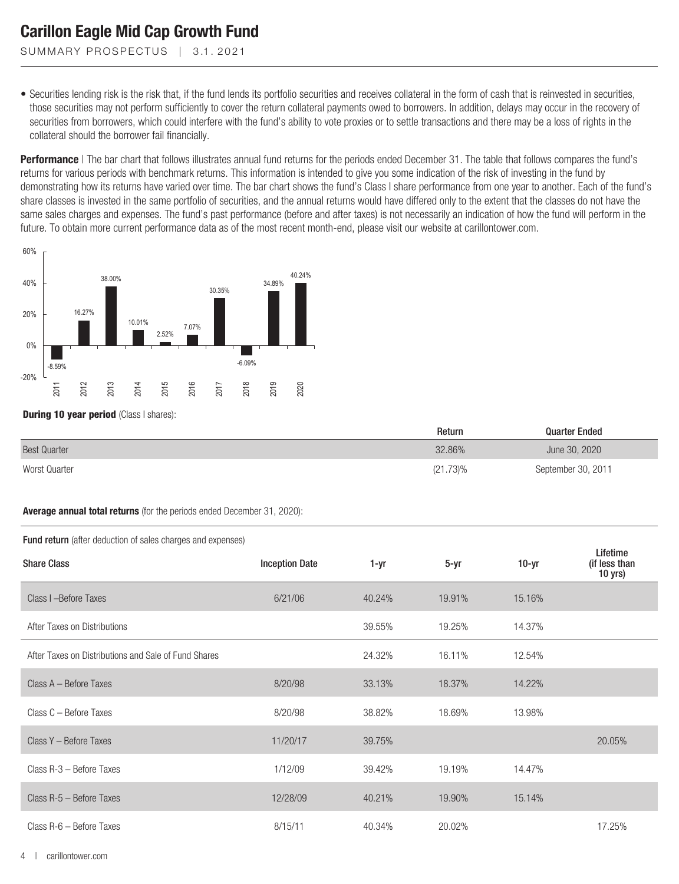SUMMARY PROSPECTUS | 3.1.2021

• Securities lending risk is the risk that, if the fund lends its portfolio securities and receives collateral in the form of cash that is reinvested in securities, those securities may not perform sufficiently to cover the return collateral payments owed to borrowers. In addition, delays may occur in the recovery of securities from borrowers, which could interfere with the fund's ability to vote proxies or to settle transactions and there may be a loss of rights in the collateral should the borrower fail financially.

**Performance** | The bar chart that follows illustrates annual fund returns for the periods ended December 31. The table that follows compares the fund's returns for various periods with benchmark returns. This information is intended to give you some indication of the risk of investing in the fund by demonstrating how its returns have varied over time. The bar chart shows the fund's Class I share performance from one year to another. Each of the fund's share classes is invested in the same portfolio of securities, and the annual returns would have differed only to the extent that the classes do not have the same sales charges and expenses. The fund's past performance (before and after taxes) is not necessarily an indication of how the fund will perform in the future. To obtain more current performance data as of the most recent month-end, please visit our website at carillontower.com.



**During 10 year period** (Class I shares):

|                     | Return   | <b>Quarter Ended</b> |  |
|---------------------|----------|----------------------|--|
| <b>Best Quarter</b> | 32.86%   | June 30, 2020        |  |
| Worst Quarter       | (21.73)% | September 30, 2011   |  |

#### **Average annual total returns** (for the periods ended December 31, 2020):

| <b>Fund return</b> (after deduction of sales charges and expenses) |                       |        |        |         |                                      |  |  |  |
|--------------------------------------------------------------------|-----------------------|--------|--------|---------|--------------------------------------|--|--|--|
| <b>Share Class</b>                                                 | <b>Inception Date</b> | 1-yr   | 5-yr   | $10-yr$ | Lifetime<br>(if less than<br>10 yrs) |  |  |  |
| Class I - Before Taxes                                             | 6/21/06               | 40.24% | 19.91% | 15.16%  |                                      |  |  |  |
| After Taxes on Distributions                                       |                       | 39.55% | 19.25% | 14.37%  |                                      |  |  |  |
| After Taxes on Distributions and Sale of Fund Shares               |                       | 24.32% | 16.11% | 12.54%  |                                      |  |  |  |
| Class A - Before Taxes                                             | 8/20/98               | 33.13% | 18.37% | 14.22%  |                                      |  |  |  |
| Class C - Before Taxes                                             | 8/20/98               | 38.82% | 18.69% | 13.98%  |                                      |  |  |  |
| Class Y - Before Taxes                                             | 11/20/17              | 39.75% |        |         | 20.05%                               |  |  |  |
| Class R-3 - Before Taxes                                           | 1/12/09               | 39.42% | 19.19% | 14.47%  |                                      |  |  |  |
| Class R-5 - Before Taxes                                           | 12/28/09              | 40.21% | 19.90% | 15.14%  |                                      |  |  |  |
| Class R-6 - Before Taxes                                           | 8/15/11               | 40.34% | 20.02% |         | 17.25%                               |  |  |  |